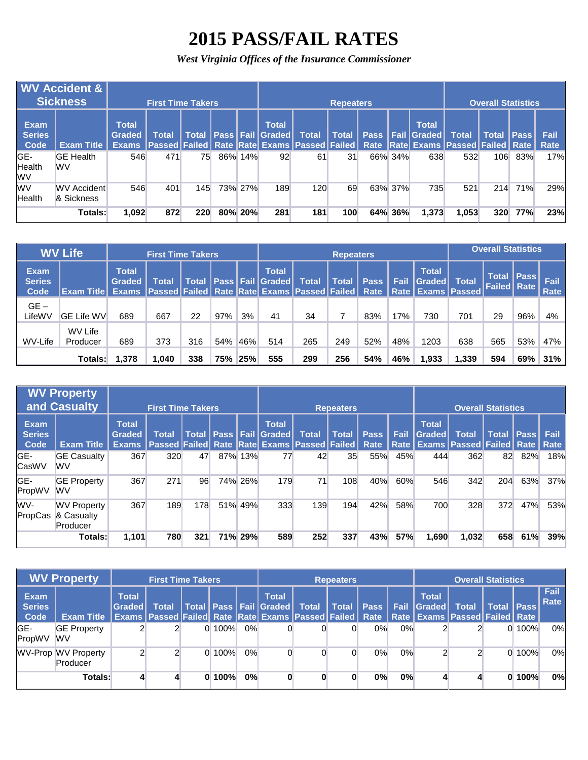## **2015 PASS/FAIL RATES**

*West Virginia Offices of the Insurance Commissioner*

|                                      | <b>WV Accident &amp;</b><br><b>Sickness</b> |                                    | <b>First Time Takers</b> |       |     |         |                                        |                                                                                                        | <b>Repeaters</b> |      |         |                                      |              | <b>Overall Statistics</b> |             |              |
|--------------------------------------|---------------------------------------------|------------------------------------|--------------------------|-------|-----|---------|----------------------------------------|--------------------------------------------------------------------------------------------------------|------------------|------|---------|--------------------------------------|--------------|---------------------------|-------------|--------------|
| <b>Exam</b><br><b>Series</b><br>Code | <b>Exam Title</b>                           | <b>Total</b><br>Graded<br>'Exams i | Total                    | Total |     |         | <b>Total</b><br>  Pass   Fail   Graded | <b>Total</b><br> Passed Failed Rate  Rate Exams  Passed Failed  Rate  Rate Exams  Passed Failed   Rate | <b>Total</b>     | Pass |         | <b>Total</b><br><b>I</b> Fail Graded | <b>Total</b> | Total I                   | <b>Pass</b> | Fail<br>Rate |
| IGE-<br>Health<br>lwv                | <b>GE Health</b><br><b>WV</b>               | 546                                | 471                      | 75    | 86% | 14%     | 92                                     | 61                                                                                                     | 31               |      | 66% 34% | 638                                  | 532          | 106                       | 83%         | 17%          |
| lwv<br>Health                        | <b>WV Accident</b><br>& Sickness            | 546                                | 401                      | 145   |     | 73% 27% | 189                                    | 120                                                                                                    | 69               |      | 63% 37% | 735                                  | 521          | 214                       | 71%         | 29%          |
|                                      | Totals:                                     | 1,092                              | 872                      | 220   | 80% | 20%     | 281                                    | 181                                                                                                    | 100              |      | 64% 36% | 1,373                                | 1,053        | 320                       | 77%         | 23%          |

|                                      | <b>WV Life</b>            |                                        | <b>First Time Takers</b>                                                 |              |     |     |                                        |              | <b>Repeaters</b> |             |      |                                                        |              | <b>Overall Statistics</b>            |             |              |
|--------------------------------------|---------------------------|----------------------------------------|--------------------------------------------------------------------------|--------------|-----|-----|----------------------------------------|--------------|------------------|-------------|------|--------------------------------------------------------|--------------|--------------------------------------|-------------|--------------|
| <b>Exam</b><br><b>Series</b><br>Code | <b>Exam Title</b>         | <b>Total</b><br>Graded<br><b>Exams</b> | Total<br> Passed   Failed   Rate   Rate   Exams   Passed   Failed   Rate | <b>Total</b> |     |     | <b>Total</b><br>  Pass   Fail   Graded | <b>Total</b> | <b>Total</b>     | <b>Pass</b> | Fail | <b>Total</b><br>Graded<br><b>Rate   Exams   Passed</b> | <b>Total</b> | <b>Total</b><br><b>Failed   Rate</b> | <b>Pass</b> | Fail<br>Rate |
| $GE -$<br>LifeWV                     | <b>GE Life WV</b>         | 689                                    | 667                                                                      | 22           | 97% | 3%  | 41                                     | 34           |                  | 83%         | 17%  | 730                                                    | 701          | 29                                   | 96%         | 4%           |
| WV-Life                              | WV Life<br>Producer       | 689                                    | 373                                                                      | 316          | 54% | 46% | 514                                    | 265          | 249              | 52%         | 48%  | 1203                                                   | 638          | 565                                  | 53%         | 47%          |
|                                      | 1.040<br>1,378<br>Totals: |                                        |                                                                          | 338          | 75% | 25% | 555                                    | 299          | 256              | 54%         | 46%  | 1,933                                                  | .339         | 594                                  | 69%         | 31%          |

|                                      | <b>WV Property</b><br><b>and Casualty</b>    |                                  | <b>First Time Takers</b>                                      |     |     |         |                                              |              | <b>Repeaters</b> |                     |              |                               | <b>Overall Statistics</b>                               |              |             |                     |
|--------------------------------------|----------------------------------------------|----------------------------------|---------------------------------------------------------------|-----|-----|---------|----------------------------------------------|--------------|------------------|---------------------|--------------|-------------------------------|---------------------------------------------------------|--------------|-------------|---------------------|
| <b>Exam</b><br><b>Series</b><br>Code | <b>Exam Title</b>                            | <b>Total</b><br>Graded<br>Exams. | Total<br><b>Passed Failed Rate Rate Exams Passed Failed  </b> |     |     |         | <b>Total</b><br>Total   Pass   Fail   Graded | <b>Total</b> | <b>Total</b>     | <b>Pass</b><br>Rate | Fail<br>Rate | <b>Total</b><br><b>Graded</b> | <b>Total</b><br><b>Exams   Passed   Failed   Rate  </b> | <b>Total</b> | <b>Pass</b> | <b>Fail</b><br>Rate |
| GE-<br><b>CasWV</b>                  | <b>GE Casualty</b><br>WV                     | 367                              | 320                                                           | 47  | 87% | 13%     | 77                                           | 42           | 35               | 55%                 | 45%          | 444                           | 362                                                     | 82           | 82%         | 18%                 |
| <b>GE-</b><br>PropWV                 | <b>GE Property</b><br>WV                     | 367                              | 271                                                           | 96  |     | 74% 26% | 179                                          | 71           | 108              | 40%                 | 60%          | 546                           | 342                                                     | 204          | 63%         | 37%                 |
| WV-<br>PropCas                       | <b>WV Property</b><br>& Casualty<br>Producer | 367                              | 189                                                           | 178 | 51% | 49%     | 333                                          | 139          | 194              | 42%                 | 58%          | 700                           | 328                                                     | 372          | 47%         | 53%                 |
|                                      | <b>Totals:</b>                               | 1,101                            | 780                                                           | 321 |     | 71% 29% | 589                                          | 252          | 337              | 43%                 | <b>57%</b>   | 1,690                         | 1,032                                                   | 658          | 61%         | 39%                 |

|                               | <b>WV Property</b>              |                               | <b>First Time Takers</b>                                                                                                         |        |    |                                                |              | <b>Repeaters</b> |             |             |                        | <b>Overall Statistics</b> |                       |       |              |
|-------------------------------|---------------------------------|-------------------------------|----------------------------------------------------------------------------------------------------------------------------------|--------|----|------------------------------------------------|--------------|------------------|-------------|-------------|------------------------|---------------------------|-----------------------|-------|--------------|
| Exam<br><b>Series</b><br>Code | <b>Exam Title</b>               | <b>Total</b><br><b>Sraded</b> | Total<br><b>Exams   Passed   Failed   Rate   Rate   Exams   Passed   Failed   Rate   Rate   Exams   Passed   Failed   Rate  </b> |        |    | <b>Total</b><br>  Total   Pass   Fail   Graded | <b>Total</b> | <b>Total</b>     | <b>Pass</b> | <b>Fail</b> | <b>Total</b><br>Graded | <b>Total</b>              | <b>Total   Pass  </b> |       | Fail<br>Rate |
| IGE-<br>PropWV                | <b>GE Property</b><br><b>WV</b> |                               |                                                                                                                                  | 0.100% | 0% |                                                |              |                  | $0\%$       | $0\%$       |                        |                           |                       | 0100% | 0%           |
|                               | WV-Prop WV Property<br>Producer |                               |                                                                                                                                  | 0.100% | 0% |                                                |              |                  | 0%          | 0%          |                        |                           |                       | 0100% | 0%           |
|                               | <b>Totals:</b>                  |                               |                                                                                                                                  | 0100%  | 0% | 0                                              |              |                  | $0\%$       | 0%          |                        |                           |                       | 0100% | 0%           |